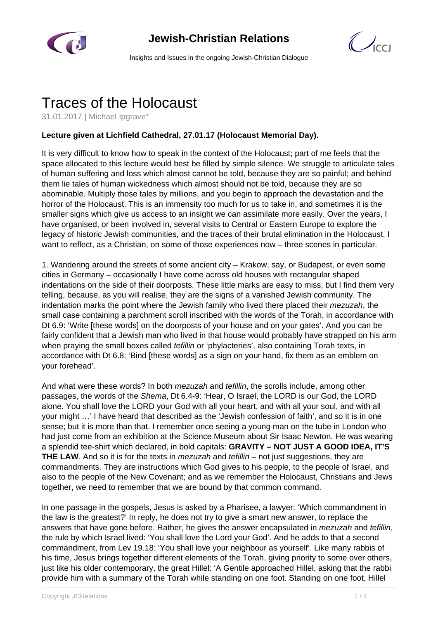

## **Jewish-Christian Relations**



Insights and Issues in the ongoing Jewish-Christian Dialogue

## Traces of the Holocaust

31.01.2017 | Michael Ipgrave\*

## **Lecture given at Lichfield Cathedral, 27.01.17 (Holocaust Memorial Day).**

It is very difficult to know how to speak in the context of the Holocaust; part of me feels that the space allocated to this lecture would best be filled by simple silence. We struggle to articulate tales of human suffering and loss which almost cannot be told, because they are so painful; and behind them lie tales of human wickedness which almost should not be told, because they are so abominable. Multiply those tales by millions, and you begin to approach the devastation and the horror of the Holocaust. This is an immensity too much for us to take in, and sometimes it is the smaller signs which give us access to an insight we can assimilate more easily. Over the years, I have organised, or been involved in, several visits to Central or Eastern Europe to explore the legacy of historic Jewish communities, and the traces of their brutal elimination in the Holocaust. I want to reflect, as a Christian, on some of those experiences now – three scenes in particular.

1. Wandering around the streets of some ancient city – Krakow, say, or Budapest, or even some cities in Germany – occasionally I have come across old houses with rectangular shaped indentations on the side of their doorposts. These little marks are easy to miss, but I find them very telling, because, as you will realise, they are the signs of a vanished Jewish community. The indentation marks the point where the Jewish family who lived there placed their *mezuzah*, the small case containing a parchment scroll inscribed with the words of the Torah, in accordance with Dt 6.9: 'Write [these words] on the doorposts of your house and on your gates'. And you can be fairly confident that a Jewish man who lived in that house would probably have strapped on his arm when praying the small boxes called *tefillin* or 'phylacteries', also containing Torah texts, in accordance with Dt 6.8: 'Bind [these words] as a sign on your hand, fix them as an emblem on your forehead'.

And what were these words? In both *mezuzah* and *tefillin*, the scrolls include, among other passages, the words of the Shema, Dt 6.4-9: 'Hear, O Israel, the LORD is our God, the LORD alone. You shall love the LORD your God with all your heart, and with all your soul, and with all your might …' I have heard that described as the 'Jewish confession of faith', and so it is in one sense; but it is more than that. I remember once seeing a young man on the tube in London who had just come from an exhibition at the Science Museum about Sir Isaac Newton. He was wearing a splendid tee-shirt which declared, in bold capitals: **GRAVITY – NOT JUST A GOOD IDEA, IT'S THE LAW**. And so it is for the texts in *mezuzah* and *tefillin* – not just suggestions, they are commandments. They are instructions which God gives to his people, to the people of Israel, and also to the people of the New Covenant; and as we remember the Holocaust, Christians and Jews together, we need to remember that we are bound by that common command.

In one passage in the gospels, Jesus is asked by a Pharisee, a lawyer: 'Which commandment in the law is the greatest?' In reply, he does not try to give a smart new answer, to replace the answers that have gone before. Rather, he gives the answer encapsulated in *mezuzah* and *tefillin*, the rule by which Israel lived: 'You shall love the Lord your God'. And he adds to that a second commandment, from Lev 19.18: 'You shall love your neighbour as yourself'. Like many rabbis of his time, Jesus brings together different elements of the Torah, giving priority to some over others, just like his older contemporary, the great Hillel: 'A Gentile approached Hillel, asking that the rabbi provide him with a summary of the Torah while standing on one foot. Standing on one foot, Hillel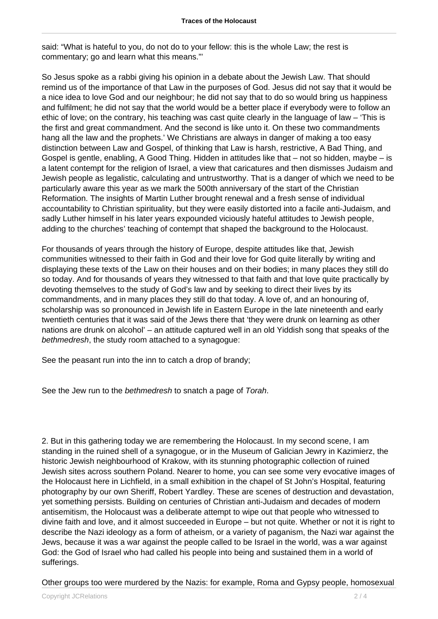said: "What is hateful to you, do not do to your fellow: this is the whole Law; the rest is commentary; go and learn what this means."'

So Jesus spoke as a rabbi giving his opinion in a debate about the Jewish Law. That should remind us of the importance of that Law in the purposes of God. Jesus did not say that it would be a nice idea to love God and our neighbour; he did not say that to do so would bring us happiness and fulfilment; he did not say that the world would be a better place if everybody were to follow an ethic of love; on the contrary, his teaching was cast quite clearly in the language of law – 'This is the first and great commandment. And the second is like unto it. On these two commandments hang all the law and the prophets.' We Christians are always in danger of making a too easy distinction between Law and Gospel, of thinking that Law is harsh, restrictive, A Bad Thing, and Gospel is gentle, enabling, A Good Thing. Hidden in attitudes like that – not so hidden, maybe – is a latent contempt for the religion of Israel, a view that caricatures and then dismisses Judaism and Jewish people as legalistic, calculating and untrustworthy. That is a danger of which we need to be particularly aware this year as we mark the 500th anniversary of the start of the Christian Reformation. The insights of Martin Luther brought renewal and a fresh sense of individual accountability to Christian spirituality, but they were easily distorted into a facile anti-Judaism, and sadly Luther himself in his later years expounded viciously hateful attitudes to Jewish people, adding to the churches' teaching of contempt that shaped the background to the Holocaust.

For thousands of years through the history of Europe, despite attitudes like that, Jewish communities witnessed to their faith in God and their love for God quite literally by writing and displaying these texts of the Law on their houses and on their bodies; in many places they still do so today. And for thousands of years they witnessed to that faith and that love quite practically by devoting themselves to the study of God's law and by seeking to direct their lives by its commandments, and in many places they still do that today. A love of, and an honouring of, scholarship was so pronounced in Jewish life in Eastern Europe in the late nineteenth and early twentieth centuries that it was said of the Jews there that 'they were drunk on learning as other nations are drunk on alcohol' – an attitude captured well in an old Yiddish song that speaks of the bethmedresh, the study room attached to a synagogue:

See the peasant run into the inn to catch a drop of brandy;

See the Jew run to the bethmedresh to snatch a page of Torah.

2. But in this gathering today we are remembering the Holocaust. In my second scene, I am standing in the ruined shell of a synagogue, or in the Museum of Galician Jewry in Kazimierz, the historic Jewish neighbourhood of Krakow, with its stunning photographic collection of ruined Jewish sites across southern Poland. Nearer to home, you can see some very evocative images of the Holocaust here in Lichfield, in a small exhibition in the chapel of St John's Hospital, featuring photography by our own Sheriff, Robert Yardley. These are scenes of destruction and devastation, yet something persists. Building on centuries of Christian anti-Judaism and decades of modern antisemitism, the Holocaust was a deliberate attempt to wipe out that people who witnessed to divine faith and love, and it almost succeeded in Europe – but not quite. Whether or not it is right to describe the Nazi ideology as a form of atheism, or a variety of paganism, the Nazi war against the Jews, because it was a war against the people called to be Israel in the world, was a war against God: the God of Israel who had called his people into being and sustained them in a world of sufferings.

Other groups too were murdered by the Nazis: for example, Roma and Gypsy people, homosexual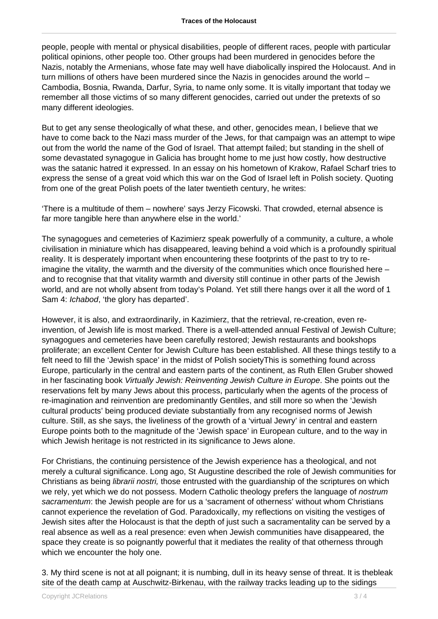people, people with mental or physical disabilities, people of different races, people with particular political opinions, other people too. Other groups had been murdered in genocides before the Nazis, notably the Armenians, whose fate may well have diabolically inspired the Holocaust. And in turn millions of others have been murdered since the Nazis in genocides around the world – Cambodia, Bosnia, Rwanda, Darfur, Syria, to name only some. It is vitally important that today we remember all those victims of so many different genocides, carried out under the pretexts of so many different ideologies.

But to get any sense theologically of what these, and other, genocides mean, I believe that we have to come back to the Nazi mass murder of the Jews, for that campaign was an attempt to wipe out from the world the name of the God of Israel. That attempt failed; but standing in the shell of some devastated synagogue in Galicia has brought home to me just how costly, how destructive was the satanic hatred it expressed. In an essay on his hometown of Krakow, Rafael Scharf tries to express the sense of a great void which this war on the God of Israel left in Polish society. Quoting from one of the great Polish poets of the later twentieth century, he writes:

'There is a multitude of them – nowhere' says Jerzy Ficowski. That crowded, eternal absence is far more tangible here than anywhere else in the world.'

The synagogues and cemeteries of Kazimierz speak powerfully of a community, a culture, a whole civilisation in miniature which has disappeared, leaving behind a void which is a profoundly spiritual reality. It is desperately important when encountering these footprints of the past to try to reimagine the vitality, the warmth and the diversity of the communities which once flourished here – and to recognise that that vitality warmth and diversity still continue in other parts of the Jewish world, and are not wholly absent from today's Poland. Yet still there hangs over it all the word of 1 Sam 4: Ichabod, 'the glory has departed'.

However, it is also, and extraordinarily, in Kazimierz, that the retrieval, re-creation, even reinvention, of Jewish life is most marked. There is a well-attended annual Festival of Jewish Culture; synagogues and cemeteries have been carefully restored; Jewish restaurants and bookshops proliferate; an excellent Center for Jewish Culture has been established. All these things testify to a felt need to fill the 'Jewish space' in the midst of Polish societyThis is something found across Europe, particularly in the central and eastern parts of the continent, as Ruth Ellen Gruber showed in her fascinating book Virtually Jewish: Reinventing Jewish Culture in Europe. She points out the reservations felt by many Jews about this process, particularly when the agents of the process of re-imagination and reinvention are predominantly Gentiles, and still more so when the 'Jewish cultural products' being produced deviate substantially from any recognised norms of Jewish culture. Still, as she says, the liveliness of the growth of a 'virtual Jewry' in central and eastern Europe points both to the magnitude of the 'Jewish space' in European culture, and to the way in which Jewish heritage is not restricted in its significance to Jews alone.

For Christians, the continuing persistence of the Jewish experience has a theological, and not merely a cultural significance. Long ago, St Augustine described the role of Jewish communities for Christians as being librarii nostri, those entrusted with the guardianship of the scriptures on which we rely, yet which we do not possess. Modern Catholic theology prefers the language of nostrum sacramentum: the Jewish people are for us a 'sacrament of otherness' without whom Christians cannot experience the revelation of God. Paradoxically, my reflections on visiting the vestiges of Jewish sites after the Holocaust is that the depth of just such a sacramentality can be served by a real absence as well as a real presence: even when Jewish communities have disappeared, the space they create is so poignantly powerful that it mediates the reality of that otherness through which we encounter the holy one.

3. My third scene is not at all poignant; it is numbing, dull in its heavy sense of threat. It is thebleak site of the death camp at Auschwitz-Birkenau, with the railway tracks leading up to the sidings